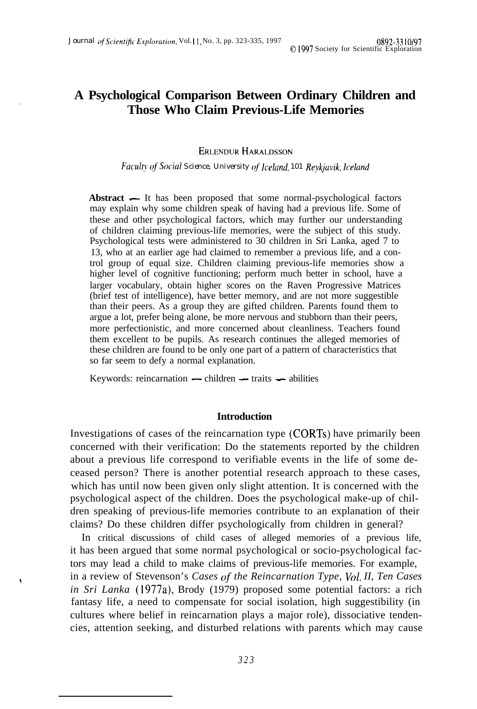# **. A Psychological Comparison Between Ordinary Children and Those Who Claim Previous-Life Memories**

#### **ERLENDUR HARALDSSON**

*Fuculty c?f Social Science, University qf Icelund, 101 Reykjavik, Iceland*

Abstract — It has been proposed that some normal-psychological factors may explain why some children speak of having had a previous life. Some of these and other psychological factors, which may further our understanding of children claiming previous-life memories, were the subject of this study. Psychological tests were administered to 30 children in Sri Lanka, aged 7 to 13, who at an earlier age had claimed to remember a previous life, and a control group of equal size. Children claiming previous-life memories show a higher level of cognitive functioning; perform much better in school, have a larger vocabulary, obtain higher scores on the Raven Progressive Matrices (brief test of intelligence), have better memory, and are not more suggestible than their peers. As a group they are gifted children. Parents found them to argue a lot, prefer being alone, be more nervous and stubborn than their peers, more perfectionistic, and more concerned about cleanliness. Teachers found them excellent to be pupils. As research continues the alleged memories of these children are found to be only one part of a pattern of characteristics that so far seem to defy a normal explanation.

Keywords: reincarnation  $-$  children  $-$  traits  $-$  abilities

 $\overline{\phantom{a}}$ 

## **Introduction**

Investigations of cases of the reincarnation type (CORTs) have primarily been concerned with their verification: Do the statements reported by the children about a previous life correspond to verifiable events in the life of some deceased person? There is another potential research approach to these cases, which has until now been given only slight attention. It is concerned with the psychological aspect of the children. Does the psychological make-up of children speaking of previous-life memories contribute to an explanation of their claims? Do these children differ psychologically from children in general?

In critical discussions of child cases of alleged memories of a previous life, it has been argued that some normal psychological or socio-psychological factors may lead a child to make claims of previous-life memories. For example, in a review of Stevenson's *Cases of the Reincarnation Type, Vol. II, Ten Cases in Sri Lanka* (1977a), Brody (1979) proposed some potential factors: a rich fantasy life, a need to compensate for social isolation, high suggestibility (in cultures where belief in reincarnation plays a major role), dissociative tendencies, attention seeking, and disturbed relations with parents which may cause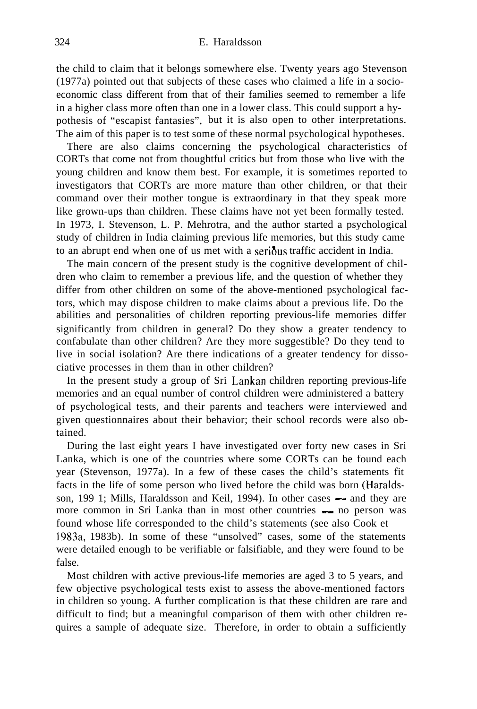the child to claim that it belongs somewhere else. Twenty years ago Stevenson (1977a) pointed out that subjects of these cases who claimed a life in a socioeconomic class different from that of their families seemed to remember a life in a higher class more often than one in a lower class. This could support a hypothesis of "escapist fantasies", but it is also open to other interpretations. The aim of this paper is to test some of these normal psychological hypotheses.

There are also claims concerning the psychological characteristics of CORTs that come not from thoughtful critics but from those who live with the young children and know them best. For example, it is sometimes reported to investigators that CORTs are more mature than other children, or that their command over their mother tongue is extraordinary in that they speak more like grown-ups than children. These claims have not yet been formally tested. In 1973, I. Stevenson, L. P. Mehrotra, and the author started a psychological study of children in India claiming previous life memories, but this study came to an abrupt end when one of us met with a serious traffic accident in India.

The main concern of the present study is the cognitive development of children who claim to remember a previous life, and the question of whether they differ from other children on some of the above-mentioned psychological factors, which may dispose children to make claims about a previous life. Do the abilities and personalities of children reporting previous-life memories differ significantly from children in general? Do they show a greater tendency to confabulate than other children? Are they more suggestible? Do they tend to live in social isolation? Are there indications of a greater tendency for dissociative processes in them than in other children?

In the present study a group of Sri Lankan children reporting previous-life memories and an equal number of control children were administered a battery of psychological tests, and their parents and teachers were interviewed and given questionnaires about their behavior; their school records were also obtained.

During the last eight years I have investigated over forty new cases in Sri Lanka, which is one of the countries where some CORTs can be found each year (Stevenson, 1977a). In a few of these cases the child's statements fit facts in the life of some person who lived before the child was born (Haraldsson, 199 1; Mills, Haraldsson and Keil, 1994). In other cases — and they are<br>son, 199 1; Mills, Haraldsson and Keil, 1994). In other cases — and they are more common in Sri Lanka than in most other countries - no person was<br>more common in Sri Lanka than in most other countries - no person was found whose life corresponded to the child's statements (see also Cook et 1983a, 1983b). In some of these "unsolved" cases, some of the statements were detailed enough to be verifiable or falsifiable, and they were found to be false.

Most children with active previous-life memories are aged 3 to 5 years, and few objective psychological tests exist to assess the above-mentioned factors in children so young. A further complication is that these children are rare and difficult to find; but a meaningful comparison of them with other children requires a sample of adequate size. Therefore, in order to obtain a sufficiently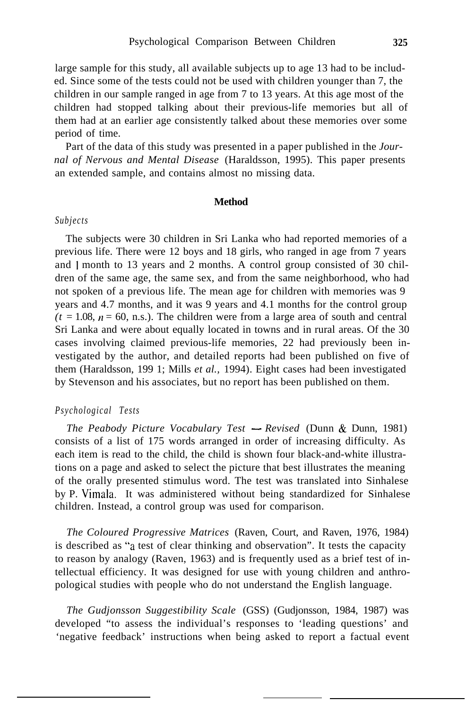large sample for this study, all available subjects up to age 13 had to be included. Since some of the tests could not be used with children younger than 7, the children in our sample ranged in age from 7 to 13 years. At this age most of the children had stopped talking about their previous-life memories but all of them had at an earlier age consistently talked about these memories over some period of time.

Part of the data of this study was presented in a paper published in the *Journal of Nervous and Mental Disease* (Haraldsson, 1995). This paper presents an extended sample, and contains almost no missing data.

#### **Method**

## *Subjects*

The subjects were 30 children in Sri Lanka who had reported memories of a previous life. There were 12 boys and 18 girls, who ranged in age from 7 years and 1 month to 13 years and 2 months. A control group consisted of 30 children of the same age, the same sex, and from the same neighborhood, who had not spoken of a previous life. The mean age for children with memories was 9 years and 4.7 months, and it was 9 years and 4.1 months for the control group  $(t = 1.08, n = 60, n.s.)$ . The children were from a large area of south and central Sri Lanka and were about equally located in towns and in rural areas. Of the 30 cases involving claimed previous-life memories, 22 had previously been investigated by the author, and detailed reports had been published on five of them (Haraldsson, 199 1; Mills *et al.,* 1994). Eight cases had been investigated by Stevenson and his associates, but no report has been published on them.

#### *Psychological Tests*

*The Peabody Picture Vocabulary Test - Revised* (Dunn & Dunn, 1981) consists of a list of 175 words arranged in order of increasing difficulty. As each item is read to the child, the child is shown four black-and-white illustrations on a page and asked to select the picture that best illustrates the meaning of the orally presented stimulus word. The test was translated into Sinhalese by P. Vimala. It was administered without being standardized for Sinhalese children. Instead, a control group was used for comparison.

*The Coloured Progressive Matrices* (Raven, Court, and Raven, 1976, 1984) is described as "a test of clear thinking and observation". It tests the capacity to reason by analogy (Raven, 1963) and is frequently used as a brief test of intellectual efficiency. It was designed for use with young children and anthropological studies with people who do not understand the English language.

*The Gudjonsson Suggestibility Scale* (GSS) (Gudjonsson, 1984, 1987) was developed "to assess the individual's responses to 'leading questions' and 'negative feedback' instructions when being asked to report a factual event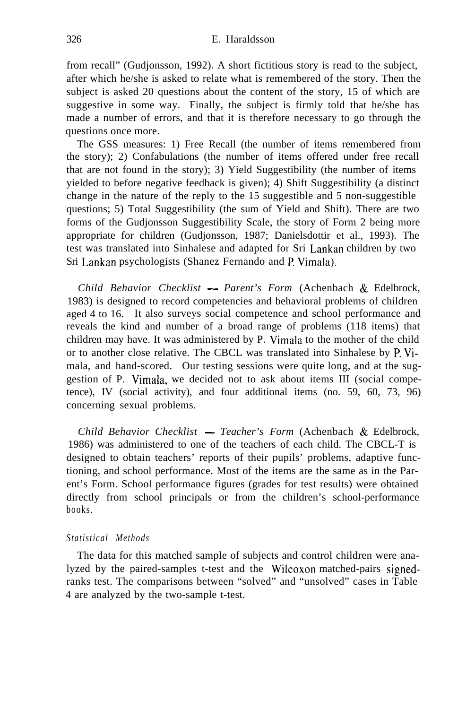from recall" (Gudjonsson, 1992). A short fictitious story is read to the subject, after which he/she is asked to relate what is remembered of the story. Then the subject is asked 20 questions about the content of the story, 15 of which are suggestive in some way. Finally, the subject is firmly told that he/she has made a number of errors, and that it is therefore necessary to go through the questions once more.

The GSS measures: 1) Free Recall (the number of items remembered from the story); 2) Confabulations (the number of items offered under free recall that are not found in the story); 3) Yield Suggestibility (the number of items yielded to before negative feedback is given); 4) Shift Suggestibility (a distinct change in the nature of the reply to the 15 suggestible and 5 non-suggestible questions; 5) Total Suggestibility (the sum of Yield and Shift). There are two forms of the Gudjonsson Suggestibility Scale, the story of Form 2 being more appropriate for children (Gudjonsson, 1987; Danielsdottir et al., 1993). The test was translated into Sinhalese and adapted for Sri Lankan children by two Sri Lankan psychologists (Shanez Fernando and P. Vimala).

*Child Behavior Checklist - Parent's Form* (Achenbach & Edelbrock, 1983) is designed to record competencies and behavioral problems of children aged 4 to 16. It also surveys social competence and school performance and reveals the kind and number of a broad range of problems (118 items) that children may have. It was administered by P. Vimala to the mother of the child or to another close relative. The CBCL was translated into Sinhalese by P. Vimala, and hand-scored. Our testing sessions were quite long, and at the suggestion of P. Vimala, we decided not to ask about items III (social competence), IV (social activity), and four additional items (no. 59, 60, 73, 96) concerning sexual problems.

*Child Behavior Checklist - Teacher's Form* (Achenbach & Edelbrock, 1986) was administered to one of the teachers of each child. The CBCL-T is designed to obtain teachers' reports of their pupils' problems, adaptive functioning, and school performance. Most of the items are the same as in the Parent's Form. School performance figures (grades for test results) were obtained directly from school principals or from the children's school-performance books.

## *Statistical Methods*

The data for this matched sample of subjects and control children were analyzed by the paired-samples t-test and the Wilcoxon matched-pairs signedranks test. The comparisons between "solved" and "unsolved" cases in Table 4 are analyzed by the two-sample t-test.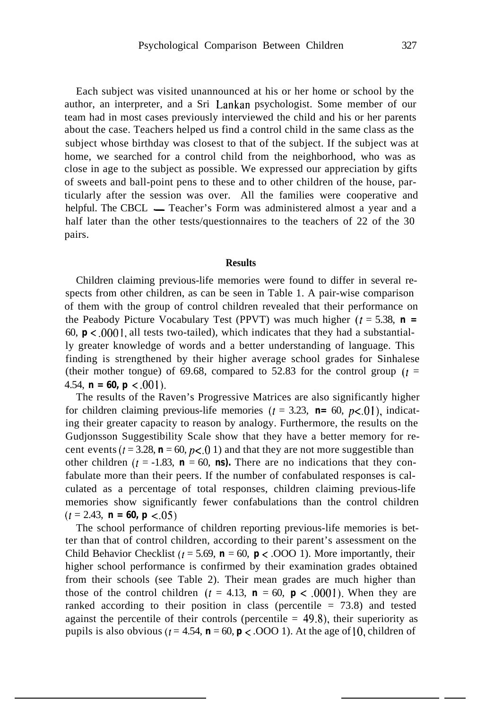Each subject was visited unannounced at his or her home or school by the author, an interpreter, and a Sri Lankan psychologist. Some member of our team had in most cases previously interviewed the child and his or her parents about the case. Teachers helped us find a control child in the same class as the subject whose birthday was closest to that of the subject. If the subject was at home, we searched for a control child from the neighborhood, who was as close in age to the subject as possible. We expressed our appreciation by gifts of sweets and ball-point pens to these and to other children of the house, particularly after the session was over. All the families were cooperative and helpful. The CBCL — Teacher's Form was administered almost a year and a half later than the other tests/questionnaires to the teachers of 22 of the 30 pairs.

# **Results**

Children claiming previous-life memories were found to differ in several respects from other children, as can be seen in Table 1. A pair-wise comparison of them with the group of control children revealed that their performance on the Peabody Picture Vocabulary Test (PPVT) was much higher  $(t = 5.38, n =$ 60,  $p < 0.001$ , all tests two-tailed), which indicates that they had a substantially greater knowledge of words and a better understanding of language. This finding is strengthened by their higher average school grades for Sinhalese (their mother tongue) of 69.68, compared to 52.83 for the control group  $(t =$ 4.54,  $\mathbf{n} = 60$ ,  $\mathbf{p} < .001$ ).

The results of the Raven's Progressive Matrices are also significantly higher for children claiming previous-life memories ( $t = 3.23$ ,  $\mathbf{n} = 60$ ,  $p < 0$ ), indicating their greater capacity to reason by analogy. Furthermore, the results on the Gudjonsson Suggestibility Scale show that they have a better memory for recent events ( $t = 3.28$ ,  $\mathbf{n} = 60$ ,  $p < 0.01$ ) and that they are not more suggestible than other children ( $t = -1.83$ ,  $\mathbf{n} = 60$ , **ns).** There are no indications that they confabulate more than their peers. If the number of confabulated responses is calculated as a percentage of total responses, children claiming previous-life memories show significantly fewer confabulations than the control children  $(t = 2.43, n = 60, p < 0.05)$ 

The school performance of children reporting previous-life memories is better than that of control children, according to their parent's assessment on the Child Behavior Checklist ( $t = 5.69$ ,  $\mathbf{n} = 60$ ,  $\mathbf{p} < .000$  1). More importantly, their higher school performance is confirmed by their examination grades obtained from their schools (see Table 2). Their mean grades are much higher than those of the control children ( $t = 4.13$ ,  $\mathbf{n} = 60$ ,  $\mathbf{p} < .0001$ ). When they are ranked according to their position in class (percentile  $= 73.8$ ) and tested against the percentile of their controls (percentile  $= 49.8$ ), their superiority as pupils is also obvious ( $t = 4.54$ ,  $\mathbf{n} = 60$ ,  $\mathbf{p} < .0001$ ). At the age of 10, children of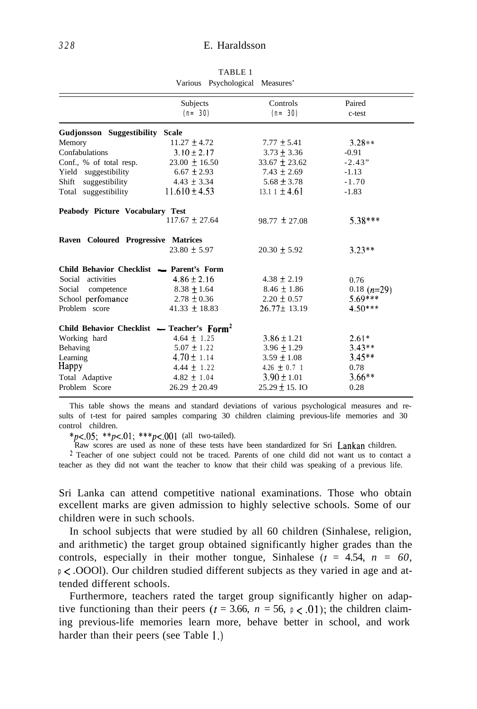|                                              | Subjects<br>$(n = 30)$ | Controls<br>$(n = 30)$ | Paired<br>c-test |
|----------------------------------------------|------------------------|------------------------|------------------|
| Gudjonsson Suggestibility Scale              |                        |                        |                  |
| Memory                                       | $11.27 \pm 4.72$       | $7.77 \pm 5.41$        | $3.28**$         |
| Confabulations                               | $3.10 \pm 2.17$        | $3.73 + 3.36$          | $-0.91$          |
| Conf., % of total resp.                      | $23.00 + 16.50$        | $33.67 + 23.62$        | $-2.43"$         |
| Yield suggestibility                         | $6.67 \pm 2.93$        | $7.43 \pm 2.69$        | $-1.13$          |
| Shift<br>suggestibility                      | $4.43 \pm 3.34$        | $5.68 \pm 3.78$        | $-1.70$          |
| Total suggestibility                         | $11.610 \pm 4.53$      | $13.11 \pm 4.61$       | $-1.83$          |
| Peabody Picture Vocabulary Test              |                        |                        |                  |
|                                              | $117.67 \pm 27.64$     | $98.77 \pm 27.08$      | $5.38***$        |
| Raven Coloured Progressive Matrices          |                        |                        |                  |
|                                              | $23.80 \pm 5.97$       | $20.30 \pm 5.92$       | $3.23**$         |
| Child Behavior Checklist - Parent's Form     |                        |                        |                  |
| activities<br>Social                         | $4.86 \pm 2.16$        | $4.38 \pm 2.19$        | 0.76             |
| Social<br>competence                         | $8.38 \pm 1.64$        | $8.46 \pm 1.86$        | 0.18 $(n=29)$    |
| School perfomance                            | $2.78 \pm 0.36$        | $2.20 \pm 0.57$        | $5.69***$        |
| Problem score                                | $41.33 \pm 18.83$      | $26.77 \pm 13.19$      | $4.50***$        |
| Child Behavior Checklist — Teacher's $Form2$ |                        |                        |                  |
| Working hard                                 | $4.64 \pm 1.25$        | $3.86 \pm 1.21$        | $2.61*$          |
| Behaving                                     | $5.07 \pm 1.22$        | $3.96 \pm 1.29$        | $3.43**$         |
| Learning                                     | $4.70 \pm 1.14$        | $3.59 \pm 1.08$        | $3.45**$         |
|                                              | $4.44 \pm 1.22$        | 4.26 $\pm$ 0.7 1       | 0.78             |
| Happy                                        |                        |                        |                  |
| Total Adaptive                               | $4.82 \pm 1.04$        | $3.90 \pm 1.01$        | $3.66**$         |

TABLE 1 Various Psychological Measures'

This table shows the means and standard deviations of various psychological measures and results of t-test for paired samples comparing 30 children claiming previous-life memories and 30 control children.

 $*_{p<-0.05}$ ;  $*_{p<-0.1}$ ;  $*_{p<-0.01}$  (all two-tailed).

Raw scores are used as none of these tests have been standardized for Sri Lankan children.  $2$  Teacher of one subject could not be traced. Parents of one child did not want us to contact a

teacher as they did not want the teacher to know that their child was speaking of a previous life.

Sri Lanka can attend competitive national examinations. Those who obtain excellent marks are given admission to highly selective schools. Some of our children were in such schools.

In school subjects that were studied by all 60 children (Sinhalese, religion, and arithmetic) the target group obtained significantly higher grades than the controls, especially in their mother tongue, Sinhalese  $(t = 4.54, n = 60,$ *p* < .OOOl). Our children studied different subjects as they varied in age and attended different schools.

Furthermore, teachers rated the target group significantly higher on adaptive functioning than their peers ( $t = 3.66$ ,  $n = 56$ ,  $p < .01$ ); the children claiming previous-life memories learn more, behave better in school, and work harder than their peers (see Table I.)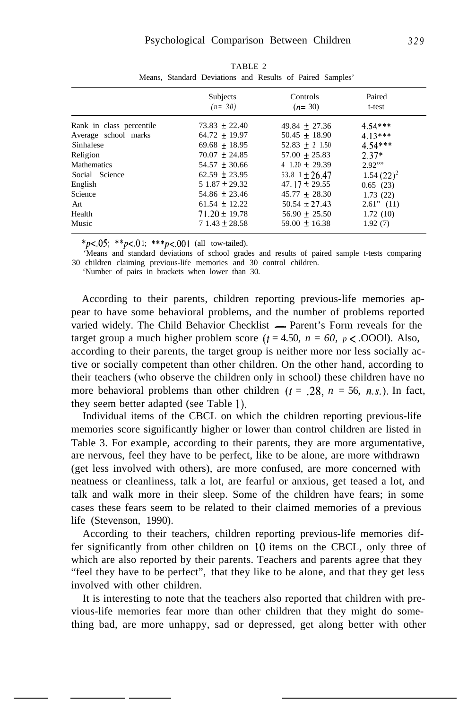|                          | Subjects<br>$(n = 30)$ | Controls<br>$(n=30)$ | Paired<br>t-test |
|--------------------------|------------------------|----------------------|------------------|
| Rank in class percentile | $73.83 + 22.40$        | $49.84 + 27.36$      | $4.54***$        |
| Average school marks     | $64.72 + 19.97$        | $50.45 + 18.90$      | $4.13***$        |
| Sinhalese                | $69.68 + 18.95$        | $52.83 + 2$ 1.50     | $4.54***$        |
| Religion                 | $70.07 \pm 24.85$      | $57.00 + 25.83$      | $2.37*$          |
| <b>Mathematics</b>       | $54.57 \pm 30.66$      | $4$ 1.20 + 29.39     | 2.92"            |
| Social Science           | $62.59 \pm 23.95$      | 53.8 $1 \pm 26.47$   | $1.54(22)^2$     |
| English                  | $51.87 \pm 29.32$      | 47.17 $\pm$ 29.55    | 0.65(23)         |
| Science                  | $54.86 \pm 23.46$      | $45.77 + 28.30$      | 1.73(22)         |
| Art                      | $61.54 \pm 12.22$      | $50.54 \pm 27.43$    | $2.61$ " $(11)$  |
| Health                   | $71.20 \pm 19.78$      | $56.90 + 25.50$      | 1.72(10)         |
| Music                    | $71.43 \pm 28.58$      | $59.00 \pm 16.38$    | 1.92(7)          |

TABLE 2 Means, Standard Deviations and Results of Paired Samples'

 $*_{p<-0.05}$ ;  $*_{p<-0.1}$ ;  $*_{p<-0.01}$  (all tow-tailed).

'Means and standard deviations of school grades and results of paired sample t-tests comparing 30 children claiming previous-life memories and 30 control children.

'Number of pairs in brackets when lower than 30.

According to their parents, children reporting previous-life memories appear to have some behavioral problems, and the number of problems reported varied widely. The Child Behavior Checklist - Parent's Form reveals for the target group a much higher problem score  $(t = 4.50, n = 60, p \le .0001)$ . Also, according to their parents, the target group is neither more nor less socially active or socially competent than other children. On the other hand, according to their teachers (who observe the children only in school) these children have no more behavioral problems than other children  $(t = .28, n = 56, n.s.)$ . In fact, they seem better adapted (see Table 1).

Individual items of the CBCL on which the children reporting previous-life memories score significantly higher or lower than control children are listed in Table 3. For example, according to their parents, they are more argumentative, are nervous, feel they have to be perfect, like to be alone, are more withdrawn (get less involved with others), are more confused, are more concerned with neatness or cleanliness, talk a lot, are fearful or anxious, get teased a lot, and talk and walk more in their sleep. Some of the children have fears; in some cases these fears seem to be related to their claimed memories of a previous life (Stevenson, 1990).

According to their teachers, children reporting previous-life memories differ significantly from other children on 10 items on the CBCL, only three of which are also reported by their parents. Teachers and parents agree that they "feel they have to be perfect", that they like to be alone, and that they get less involved with other children.

It is interesting to note that the teachers also reported that children with previous-life memories fear more than other children that they might do something bad, are more unhappy, sad or depressed, get along better with other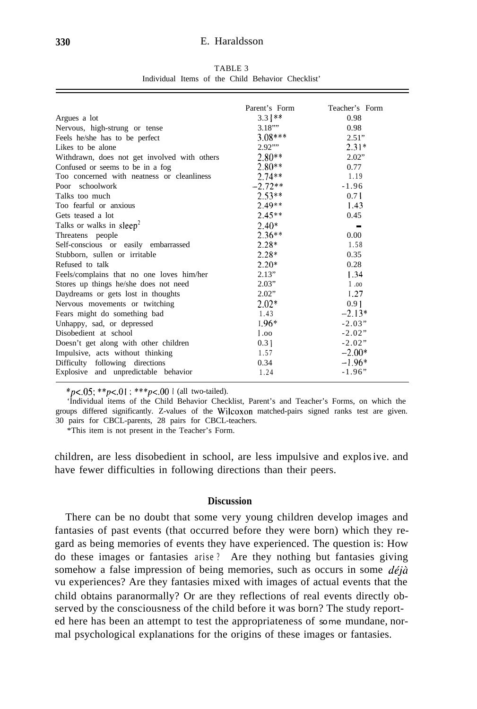#### **330** E. Haraldsson

TABLE 3 Individual Items of the Child Behavior Checklist'

|                                              | Parent's Form | Teacher's Form |
|----------------------------------------------|---------------|----------------|
| Argues a lot                                 | $3.3$   **    | 0.98           |
| Nervous, high-strung or tense                | 3.18'''       | 0.98           |
| Feels he/she has to be perfect               | $3.08***$     | 2.51"          |
| Likes to be alone                            | 2.92"         | $2.31*$        |
| Withdrawn, does not get involved with others | $2.80**$      | 2.02"          |
| Confused or seems to be in a fog             | $2.80**$      | 0.77           |
| Too concerned with neatness or cleanliness   | $2.74**$      | 1.19           |
| Poor schoolwork                              | $-2.72**$     | $-1.96$        |
| Talks too much                               | $2.53**$      | 0.71           |
| Too fearful or anxious                       | $2.49**$      | 1.43           |
| Gets teased a lot                            | $2.45**$      | 0.45           |
| Talks or walks in sleep <sup>2</sup>         | $2.40*$       | ш              |
| Threatens people                             | $2.36**$      | 0.00           |
| Self-conscious or easily embarrassed         | $2.28*$       | 1.58           |
| Stubborn, sullen or irritable                | $2.28*$       | 0.35           |
| Refused to talk                              | $2.20*$       | 0.28           |
| Feels/complains that no one loves him/her    | 2.13"         | 1.34           |
| Stores up things he/she does not need        | 2.03"         | 1.00           |
| Daydreams or gets lost in thoughts           | 2.02"         | 1.27           |
| Nervous movements or twitching               | $2.02*$       | 0.91           |
| Fears might do something bad                 | 1.43          | $-2.13*$       |
| Unhappy, sad, or depressed                   | $1.96*$       | $-2.03"$       |
| Disobedient at school                        | 1.00          | $-2.02"$       |
| Doesn't get along with other children        | 0.31          | $-2.02"$       |
| Impulsive, acts without thinking             | 1.57          | $-2.00*$       |
| Difficulty following directions              | 0.34          | $-1.96*$       |
| Explosive and unpredictable behavior         | 1.24          | $-1.96"$       |
|                                              |               |                |

 $*_{p<-.05; **p<-.01; **p<-.001}$  (all two-tailed).

'Individual items of the Child Behavior Checklist, Parent's and Teacher's Forms, on which the groups differed significantly. Z-values of the Wilcoxon matched-pairs signed ranks test are given. 30 pairs for CBCL-parents, 28 pairs for CBCL-teachers.

\*This item is not present in the Teacher's Form.

children, are less disobedient in school, are less impulsive and explosive. and have fewer difficulties in following directions than their peers.

# **Discussion**

There can be no doubt that some very young children develop images and fantasies of past events (that occurred before they were born) which they regard as being memories of events they have experienced. The question is: How do these images or fantasies arise ? Are they nothing but fantasies giving somehow a false impression of being memories, such as occurs in some  $d\acute{e}j\grave{a}$ vu experiences? Are they fantasies mixed with images of actual events that the child obtains paranormally? Or are they reflections of real events directly observed by the consciousness of the child before it was born? The study reported here has been an attempt to test the appropriateness of *some* mundane, normal psychological explanations for the origins of these images or fantasies.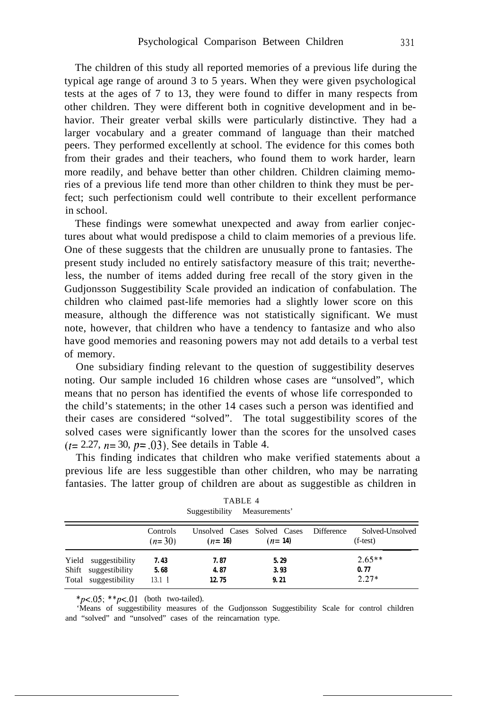The children of this study all reported memories of a previous life during the typical age range of around 3 to 5 years. When they were given psychological tests at the ages of 7 to 13, they were found to differ in many respects from other children. They were different both in cognitive development and in behavior. Their greater verbal skills were particularly distinctive. They had a larger vocabulary and a greater command of language than their matched peers. They performed excellently at school. The evidence for this comes both from their grades and their teachers, who found them to work harder, learn more readily, and behave better than other children. Children claiming memories of a previous life tend more than other children to think they must be perfect; such perfectionism could well contribute to their excellent performance in school.

These findings were somewhat unexpected and away from earlier conjectures about what would predispose a child to claim memories of a previous life. One of these suggests that the children are unusually prone to fantasies. The present study included no entirely satisfactory measure of this trait; nevertheless, the number of items added during free recall of the story given in the Gudjonsson Suggestibility Scale provided an indication of confabulation. The children who claimed past-life memories had a slightly lower score on this measure, although the difference was not statistically significant. We must note, however, that children who have a tendency to fantasize and who also have good memories and reasoning powers may not add details to a verbal test of memory.

One subsidiary finding relevant to the question of suggestibility deserves noting. Our sample included 16 children whose cases are "unsolved", which means that no person has identified the events of whose life corresponded to the child's statements; in the other 14 cases such a person was identified and their cases are considered "solved". The total suggestibility scores of the solved cases were significantly lower than the scores for the unsolved cases  $(t= 2.27, n= 30, p=.03)$ . See details in Table 4.

This finding indicates that children who make verified statements about a previous life are less suggestible than other children, who may be narrating fantasies. The latter group of children are about as suggestible as children in

|                                                                      |                              | Suggestibility                          | Measurements         |            |                               |
|----------------------------------------------------------------------|------------------------------|-----------------------------------------|----------------------|------------|-------------------------------|
|                                                                      | Controls<br>$(n=30)$         | Unsolved Cases Solved Cases<br>$(n=16)$ | $(n=14)$             | Difference | Solved-Unsolved<br>$(f-test)$ |
| Yield suggestibility<br>Shift suggestibility<br>Total suggestibility | 7.43<br>5.68<br>$13.1 \perp$ | 7.87<br>4.87<br>12.75                   | 5.29<br>3.93<br>9.21 |            | $2.65**$<br>0.77<br>$2.27*$   |

| TABLE 4        |               |  |
|----------------|---------------|--|
| Suggestibility | Measurements' |  |

*\*p<.o5; \*\*p<.Ol* (both two-tailed).

'Means of suggestibility measures of the Gudjonsson Suggestibility Scale for control children and "solved" and "unsolved" cases of the reincarnation type.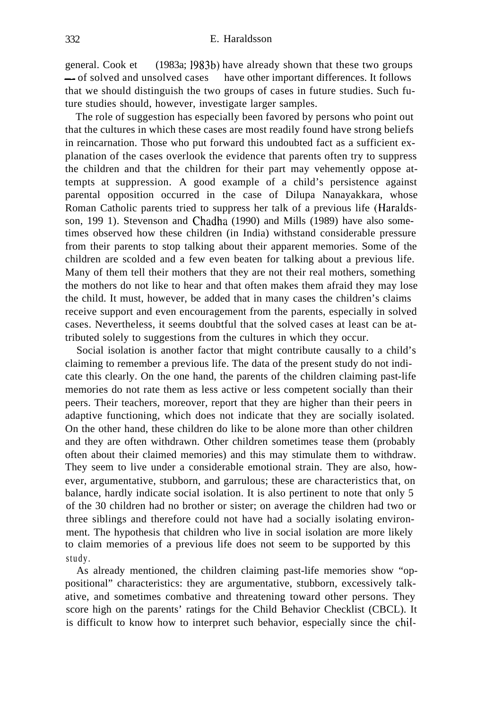general. Cook et (1983a; 1983b) have already shown that these two groups  $-$  of solved and unsolved cases have other important differences. It follows that we should distinguish the two groups of cases in future studies. Such future studies should, however, investigate larger samples.

The role of suggestion has especially been favored by persons who point out that the cultures in which these cases are most readily found have strong beliefs in reincarnation. Those who put forward this undoubted fact as a sufficient explanation of the cases overlook the evidence that parents often try to suppress the children and that the children for their part may vehemently oppose attempts at suppression. A good example of a child's persistence against parental opposition occurred in the case of Dilupa Nanayakkara, whose Roman Catholic parents tried to suppress her talk of a previous life (Haraldsson, 199 1). Stevenson and Chadha (1990) and Mills (1989) have also sometimes observed how these children (in India) withstand considerable pressure from their parents to stop talking about their apparent memories. Some of the children are scolded and a few even beaten for talking about a previous life. Many of them tell their mothers that they are not their real mothers, something the mothers do not like to hear and that often makes them afraid they may lose the child. It must, however, be added that in many cases the children's claims receive support and even encouragement from the parents, especially in solved cases. Nevertheless, it seems doubtful that the solved cases at least can be attributed solely to suggestions from the cultures in which they occur.

Social isolation is another factor that might contribute causally to a child's claiming to remember a previous life. The data of the present study do not indicate this clearly. On the one hand, the parents of the children claiming past-life memories do not rate them as less active or less competent socially than their peers. Their teachers, moreover, report that they are higher than their peers in adaptive functioning, which does not indicate that they are socially isolated. On the other hand, these children do like to be alone more than other children and they are often withdrawn. Other children sometimes tease them (probably often about their claimed memories) and this may stimulate them to withdraw. They seem to live under a considerable emotional strain. They are also, however, argumentative, stubborn, and garrulous; these are characteristics that, on balance, hardly indicate social isolation. It is also pertinent to note that only 5 of the 30 children had no brother or sister; on average the children had two or three siblings and therefore could not have had a socially isolating environment. The hypothesis that children who live in social isolation are more likely to claim memories of a previous life does not seem to be supported by this study.

As already mentioned, the children claiming past-life memories show "oppositional" characteristics: they are argumentative, stubborn, excessively talkative, and sometimes combative and threatening toward other persons. They score high on the parents' ratings for the Child Behavior Checklist (CBCL). It is difficult to know how to interpret such behavior, especially since the chil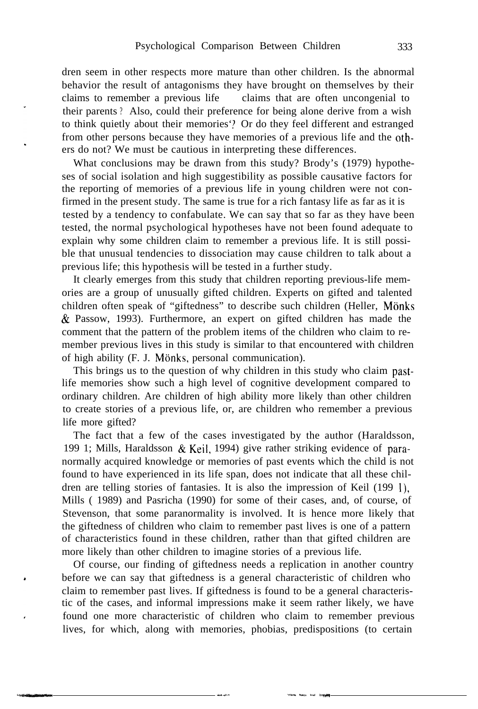dren seem in other respects more mature than other children. Is the abnormal behavior the result of antagonisms they have brought on themselves by their claims to remember a previous life claims that are often uncongenial to their parents ? Also, could their preference for being alone derive from a wish to think quietly about their memories'? Or do they feel different and estranged from other persons because they have memories of a previous life and the others do not? We must be cautious in interpreting these differences.

What conclusions may be drawn from this study? Brody's (1979) hypotheses of social isolation and high suggestibility as possible causative factors for the reporting of memories of a previous life in young children were not confirmed in the present study. The same is true for a rich fantasy life as far as it is tested by a tendency to confabulate. We can say that so far as they have been tested, the normal psychological hypotheses have not been found adequate to explain why some children claim to remember a previous life. It is still possible that unusual tendencies to dissociation may cause children to talk about a previous life; this hypothesis will be tested in a further study.

It clearly emerges from this study that children reporting previous-life memories are a group of unusually gifted children. Experts on gifted and talented children often speak of "giftedness" to describe such children (Heller, Mönks & Passow, 1993). Furthermore, an expert on gifted children has made the comment that the pattern of the problem items of the children who claim to remember previous lives in this study is similar to that encountered with children of high ability (F. J. Mönks, personal communication).

This brings us to the question of why children in this study who claim pastlife memories show such a high level of cognitive development compared to ordinary children. Are children of high ability more likely than other children to create stories of a previous life, or, are children who remember a previous life more gifted?

The fact that a few of the cases investigated by the author (Haraldsson, 199 1; Mills, Haraldsson & Keil, 1994) give rather striking evidence of paranormally acquired knowledge or memories of past events which the child is not found to have experienced in its life span, does not indicate that all these children are telling stories of fantasies. It is also the impression of Keil (199 l), Mills ( 1989) and Pasricha (1990) for some of their cases, and, of course, of Stevenson, that some paranormality is involved. It is hence more likely that the giftedness of children who claim to remember past lives is one of a pattern of characteristics found in these children, rather than that gifted children are more likely than other children to imagine stories of a previous life.

Of course, our finding of giftedness needs a replication in another country before we can say that giftedness is a general characteristic of children who claim to remember past lives. If giftedness is found to be a general characteristic of the cases, and informal impressions make it seem rather likely, we have found one more characteristic of children who claim to remember previous lives, for which, along with memories, phobias, predispositions (to certain

- - --L- .-- ~I. \_\_x frCI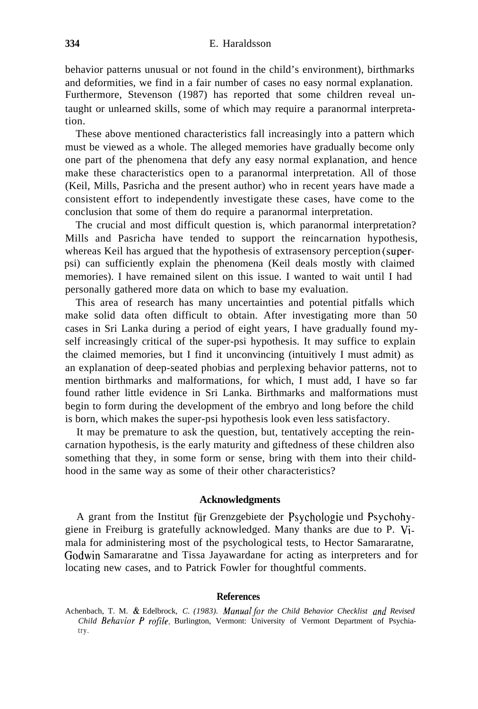behavior patterns unusual or not found in the child's environment), birthmarks and deformities, we find in a fair number of cases no easy normal explanation. Furthermore, Stevenson (1987) has reported that some children reveal untaught or unlearned skills, some of which may require a paranormal interpretation.

These above mentioned characteristics fall increasingly into a pattern which must be viewed as a whole. The alleged memories have gradually become only one part of the phenomena that defy any easy normal explanation, and hence make these characteristics open to a paranormal interpretation. All of those (Keil, Mills, Pasricha and the present author) who in recent years have made a consistent effort to independently investigate these cases, have come to the conclusion that some of them do require a paranormal interpretation.

The crucial and most difficult question is, which paranormal interpretation? Mills and Pasricha have tended to support the reincarnation hypothesis, whereas Keil has argued that the hypothesis of extrasensory perception (superpsi) can sufficiently explain the phenomena (Keil deals mostly with claimed memories). I have remained silent on this issue. I wanted to wait until I had personally gathered more data on which to base my evaluation.

This area of research has many uncertainties and potential pitfalls which make solid data often difficult to obtain. After investigating more than 50 cases in Sri Lanka during a period of eight years, I have gradually found myself increasingly critical of the super-psi hypothesis. It may suffice to explain the claimed memories, but I find it unconvincing (intuitively I must admit) as an explanation of deep-seated phobias and perplexing behavior patterns, not to mention birthmarks and malformations, for which, I must add, I have so far found rather little evidence in Sri Lanka. Birthmarks and malformations must begin to form during the development of the embryo and long before the child is born, which makes the super-psi hypothesis look even less satisfactory.

It may be premature to ask the question, but, tentatively accepting the reincarnation hypothesis, is the early maturity and giftedness of these children also something that they, in some form or sense, bring with them into their childhood in the same way as some of their other characteristics?

# **Acknowledgments**

A grant from the Institut für Grenzgebiete der Psychologie und Psychohygiene in Freiburg is gratefully acknowledged. Many thanks are due to P. Vimala for administering most of the psychological tests, to Hector Samararatne, Godwin Samararatne and Tissa Jayawardane for acting as interpreters and for locating new cases, and to Patrick Fowler for thoughtful comments.

### **References**

Achenbach, T. M. & Edelbrock, *C. (1983). Manualfor the Child Behavior Checklist und Revised Child Behavior P rofile.* Burlington, Vermont: University of Vermont Department of Psychiatry.